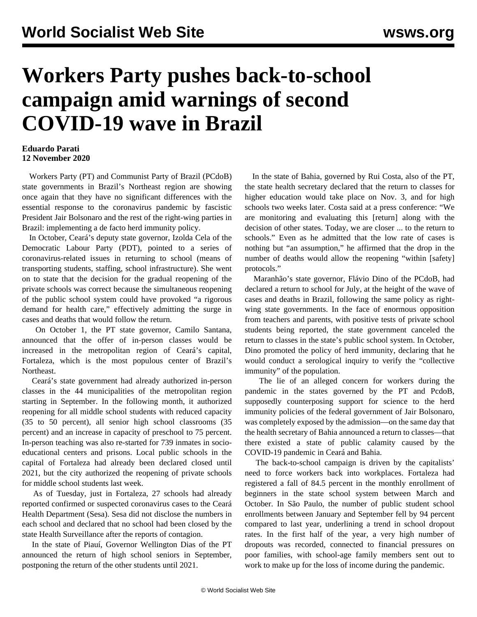## **Workers Party pushes back-to-school campaign amid warnings of second COVID-19 wave in Brazil**

## **Eduardo Parati 12 November 2020**

 Workers Party (PT) and Communist Party of Brazil (PCdoB) state governments in Brazil's Northeast region are showing once again that they have no significant differences with the essential response to the coronavirus pandemic by fascistic President Jair Bolsonaro and the rest of the right-wing parties in Brazil: implementing a de facto herd immunity policy.

 In October, Ceará's deputy state governor, Izolda Cela of the Democratic Labour Party (PDT), pointed to a series of coronavirus-related issues in returning to school (means of transporting students, staffing, school infrastructure). She went on to state that the decision for the gradual reopening of the private schools was correct because the simultaneous reopening of the public school system could have provoked "a rigorous demand for health care," effectively admitting the surge in cases and deaths that would follow the return.

 On October 1, the PT state governor, Camilo Santana, announced that the offer of in-person classes would be increased in the metropolitan region of Ceará's capital, Fortaleza, which is the most populous center of Brazil's **Northeast** 

 Ceará's state government had already authorized in-person classes in the 44 municipalities of the metropolitan region starting in September. In the following month, it authorized reopening for all middle school students with reduced capacity (35 to 50 percent), all senior high school classrooms (35 percent) and an increase in capacity of preschool to 75 percent. In-person teaching was also re-started for 739 inmates in socioeducational centers and prisons. Local public schools in the capital of Fortaleza had already been declared closed until 2021, but the city authorized the reopening of private schools for middle school students last week.

 As of Tuesday, just in Fortaleza, 27 schools had already reported confirmed or suspected coronavirus cases to the Ceará Health Department (Sesa). Sesa did not disclose the numbers in each school and declared that no school had been closed by the state Health Surveillance after the reports of contagion.

 In the state of Piauí, Governor Wellington Dias of the PT announced the return of high school seniors in September, postponing the return of the other students until 2021.

 In the state of Bahia, governed by Rui Costa, also of the PT, the state health secretary declared that the return to classes for higher education would take place on Nov. 3, and for high schools two weeks later. Costa said at a press conference: "We are monitoring and evaluating this [return] along with the decision of other states. Today, we are closer ... to the return to schools." Even as he admitted that the low rate of cases is nothing but "an assumption," he affirmed that the drop in the number of deaths would allow the reopening "within [safety] protocols."

 Maranhão's state governor, Flávio Dino of the PCdoB, had declared a return to school for July, at the height of the wave of cases and deaths in Brazil, following the same policy as rightwing state governments. In the face of enormous opposition from teachers and parents, with positive tests of private school students being reported, the state government canceled the return to classes in the state's public school system. In October, Dino promoted the policy of herd immunity, declaring that he would conduct a serological inquiry to verify the "collective immunity" of the population.

 The lie of an alleged concern for workers during the pandemic in the states governed by the PT and PcdoB, supposedly counterposing support for science to the herd immunity policies of the federal government of Jair Bolsonaro, was completely exposed by the admission—on the same day that the health secretary of Bahia announced a return to classes—that there existed a state of public calamity caused by the COVID-19 pandemic in Ceará and Bahia.

 The back-to-school campaign is driven by the capitalists' need to force workers back into workplaces. Fortaleza had registered a fall of 84.5 percent in the monthly enrollment of beginners in the state school system between March and October. In São Paulo, the number of public student school enrollments between January and September fell by 94 percent compared to last year, underlining a trend in school dropout rates. In the first half of the year, a very high number of dropouts was recorded, connected to financial pressures on poor families, with school-age family members sent out to work to make up for the loss of income during the pandemic.